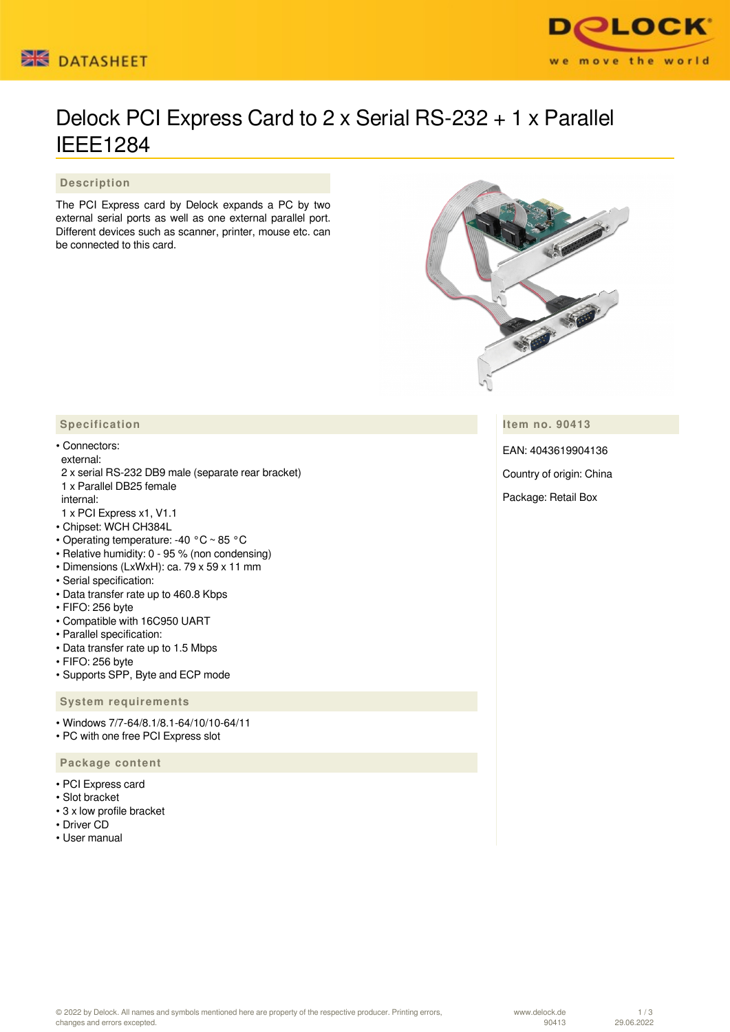



# Delock PCI Express Card to 2 x Serial RS-232 + 1 x Parallel IEEE1284

 **Description**

The PCI Express card by Delock expands a PC by two external serial ports as well as one external parallel port. Different devices such as scanner, printer, mouse etc. can be connected to this card.



**Item no. 90413**

EAN: 4043619904136

Country of origin: China

Package: Retail Box

### **Specification**

#### • Connectors:

external:

- 2 x serial RS-232 DB9 male (separate rear bracket) 1 x Parallel DB25 female internal:
- 1 x PCI Express x1, V1.1
- Chipset: WCH CH384L
- Operating temperature: -40 °C ~ 85 °C
- Relative humidity: 0 95 % (non condensing)
- Dimensions (LxWxH): ca. 79 x 59 x 11 mm
- Serial specification:
- Data transfer rate up to 460.8 Kbps
- FIFO: 256 byte
- Compatible with 16C950 UART
- Parallel specification:
- Data transfer rate up to 1.5 Mbps
- FIFO: 256 byte
- Supports SPP, Byte and ECP mode

 **System requirements**

• Windows 7/7-64/8.1/8.1-64/10/10-64/11

• PC with one free PCI Express slot

#### **Package content**

- PCI Express card
- Slot bracket
- 3 x low profile bracket
- Driver CD
- User manual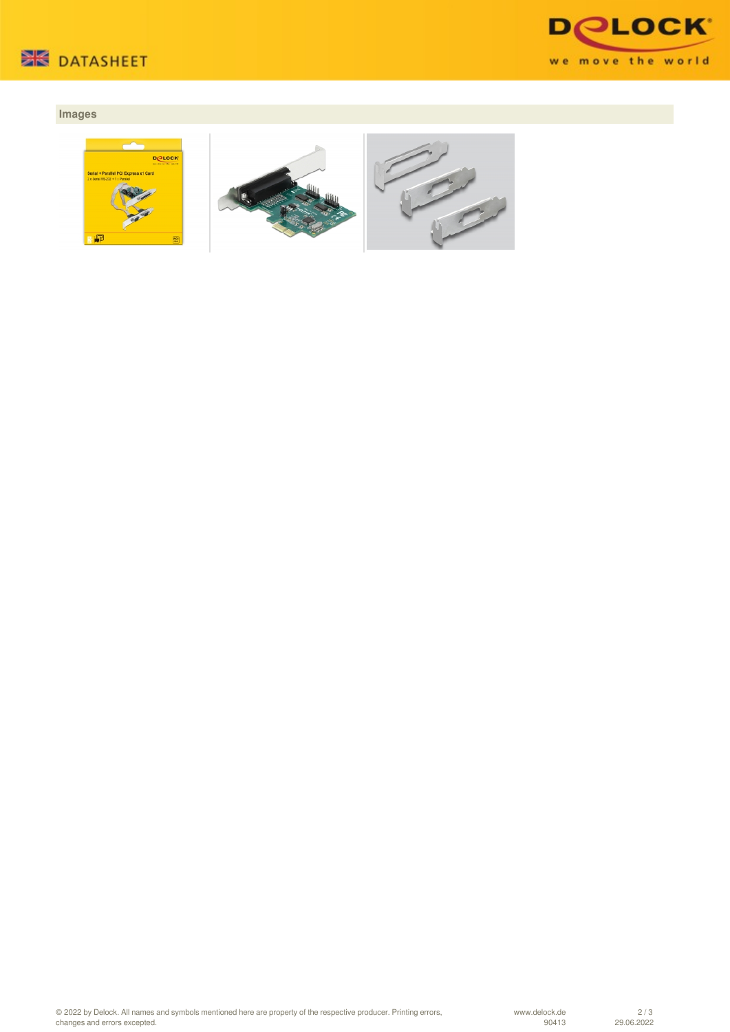



## **Images**